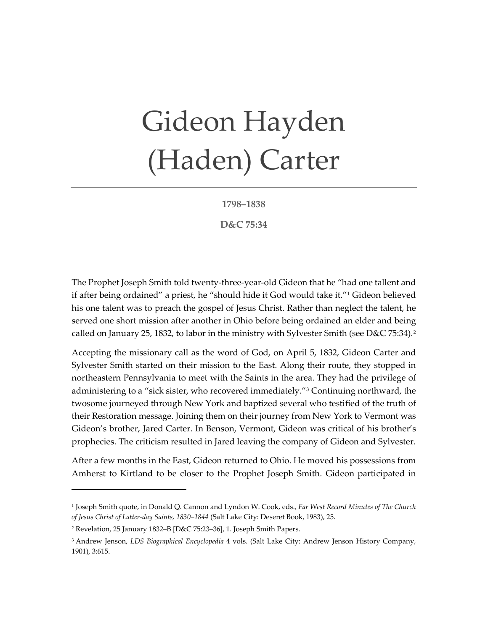## Gideon Hayden (Haden) Carter

**1798–1838**

**D&C 75:34**

The Prophet Joseph Smith told twenty-three-year-old Gideon that he "had one tallent and if after being ordained" a priest, he "should hide it God would take it."[1](#page-0-0) Gideon believed his one talent was to preach the gospel of Jesus Christ. Rather than neglect the talent, he served one short mission after another in Ohio before being ordained an elder and being called on January [2](#page-0-1)5, 1832, to labor in the ministry with Sylvester Smith (see D&C 75:34).<sup>2</sup>

Accepting the missionary call as the word of God, on April 5, 1832, Gideon Carter and Sylvester Smith started on their mission to the East. Along their route, they stopped in northeastern Pennsylvania to meet with the Saints in the area. They had the privilege of administering to a "sick sister, who recovered immediately."[3](#page-0-2) Continuing northward, the twosome journeyed through New York and baptized several who testified of the truth of their Restoration message. Joining them on their journey from New York to Vermont was Gideon's brother, Jared Carter. In Benson, Vermont, Gideon was critical of his brother's prophecies. The criticism resulted in Jared leaving the company of Gideon and Sylvester.

After a few months in the East, Gideon returned to Ohio. He moved his possessions from Amherst to Kirtland to be closer to the Prophet Joseph Smith. Gideon participated in

<span id="page-0-0"></span><sup>1</sup> Joseph Smith quote, in Donald Q. Cannon and Lyndon W. Cook, eds., *Far West Record Minutes of The Church of Jesus Christ of Latter-day Saints, 1830–1844* (Salt Lake City: Deseret Book, 1983), 25.

<span id="page-0-1"></span><sup>2</sup> Revelation, 25 January 1832–B [D&C 75:23–36], 1. Joseph Smith Papers.

<span id="page-0-2"></span><sup>3</sup> Andrew Jenson, *LDS Biographical Encyclopedia* 4 vols. (Salt Lake City: Andrew Jenson History Company, 1901), 3:615.